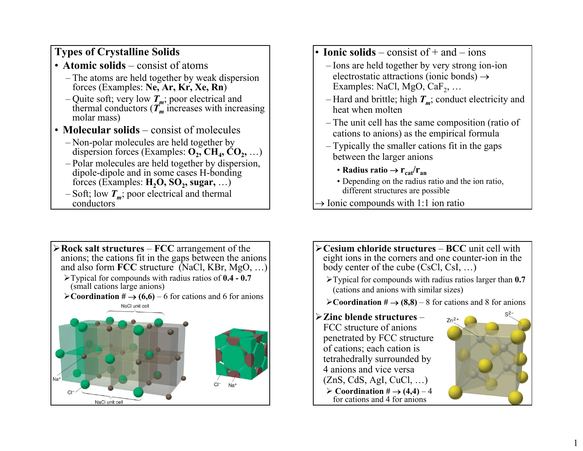## **Types of Crystalline Solids**

- **Atomic solids** consist of atoms
	- The atoms are held together by weak dispersion forces (Examples: **Ne, Ar, Kr, Xe, Rn**)
	- Quite soft; very low  $T_m$ ; poor electrical and thermal conductors  $(T_m$  increases with increasing molar mass)
- **Molecular solids** consist of molecules
	- Non-polar molecules are held together by dispersion forces (Examples:  $O_2$ , CH<sub>4</sub>, CO<sub>2</sub>, ...)
	- Polar molecules are held together by dispersion, dipole-dipole and in some cases H-bonding forces (Examples:  $H_2O$ ,  $SO_2$ , sugar, ...)
	- $-$  Soft; low  $T_m$ ; poor electrical and thermal conductors
- ¾**Rock salt structures FCC** arrangement of the anions; the cations fit in the gaps between the anions and also form **FCC** structure (NaCl, KBr, MgO, …) ¾Typical for compounds with radius ratios of **0.4 - 0.7**  (small cations large anions) ¾**Coordination #** → **(6,6)** – 6 for cations and 6 for anions NaCl unit cell NaCl unit cell
- **Ionic solids** consist of + and ions
	- Ions are held together by very strong ion-ion electrostatic attractions (ionic bonds)  $\rightarrow$ Examples: NaCl, MgO, Ca $F_2$ , ...
	- $-$  Hard and brittle; high  $T_m$ ; conduct electricity and heat when molten
	- The unit cell has the same composition (ratio of cations to anions) as the empirical formula
	- Typically the smaller cations fit in the gaps between the larger anions
		- Radius ratio  $\rightarrow$   $r_{\rm cat}/r_{\rm an}$
		- Depending on the radius ratio and the ion ratio, different structures are possible
- $\rightarrow$  Ionic compounds with 1:1 ion ratio
- ¾**Cesium chloride structures BCC** unit cell with eight ions in the corners and one counter-ion in the body center of the cube (CsCl, CsI, …)
	- ¾Typical for compounds with radius ratios larger than **0.7**  (cations and anions with similar sizes)
	- ¾**Coordination #** → **(8,8)** 8 for cations and 8 for anions

## ¾**Zinc blende structures** –

FCC structure of anions penetrated by FCC structure of cations; each cation is tetrahedrally surrounded by 4 anions and vice versa  $(ZnS, CdS, AgI, CuCl, ...)$  $\triangleright$  Coordination #  $\rightarrow$  (4,4) – 4 for cations and 4 for anions

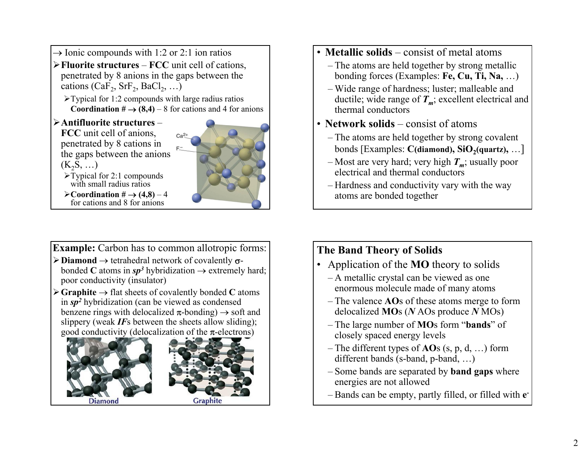- $\rightarrow$  Ionic compounds with 1:2 or 2:1 ion ratios ¾**Fluorite structures** – **FCC** unit cell of cations, penetrated by 8 anions in the gaps between the cations (CaF<sub>2</sub>, SrF<sub>2</sub>, BaCl<sub>2</sub>, ...)
	- $\triangleright$  Typical for 1:2 compounds with large radius ratios **Coordination**  $# \rightarrow (8,4) - 8$  **for cations and 4 for anions**
- ¾**Antifluorite structures** –

**FCC** unit cell of anions, penetrated by 8 cations in the gaps between the anions  $(K_2S, \ldots)$ 



- ¾Typical for 2:1 compounds with small radius ratios
- $\triangleright$  Coordination #  $\rightarrow$   $(4,8)$  4 for cations and 8 for anions

**Example:** Carbon has to common allotropic forms:

- ¾**Diamond** → tetrahedral network of covalently <sup>σ</sup>bonded **C** atoms in  $sp^3$  hybridization  $\rightarrow$  extremely hard; poor conductivity (insulator)
- ¾**Graphite** <sup>→</sup> flat sheets of covalently bonded **C** atoms in *sp<sup>2</sup>* hybridization (can be viewed as condensed benzene rings with delocalized  $\pi$ -bonding)  $\rightarrow$  soft and slippery (weak *IF*<sup>s</sup> between the sheets allow sliding); good conductivity (delocalization of the  $\pi$ -electrons)





- **Metallic solids** consist of metal atoms
	- The atoms are held together by strong metallic bonding forces (Examples: **Fe, Cu, Ti, Na,** …)
	- Wide range of hardness; luster; malleable and ductile; wide range of  $T_m$ ; excellent electrical and thermal conductors
- **Network solids** consist of atoms
	- The atoms are held together by strong covalent bonds [Examples: **C**(diamond), SiO<sub>2</sub>(quartz), ...]
	- Most are very hard; very high  $T_m$ ; usually poor electrical and thermal conductors
	- Hardness and conductivity vary with the way atoms are bonded together

## **The Band Theory of Solids**

- Application of the **MO** theory to solids
	- A metallic crystal can be viewed as one enormous molecule made of many atoms
	- The valence **AO**<sup>s</sup> of these atoms merge to form delocalized **MO**s (*N* AOs produce *N* MOs)
	- The large number of **MO**s form "**bands**" of closely spaced energy levels
	- The different types of **AO**<sup>s</sup> (s, p, d, …) form different bands (s-band, p-band, ...)
	- Some bands are separated by **band gaps** where energies are not allowed
	- Bands can be empty, partly filled, or filled with **e-**